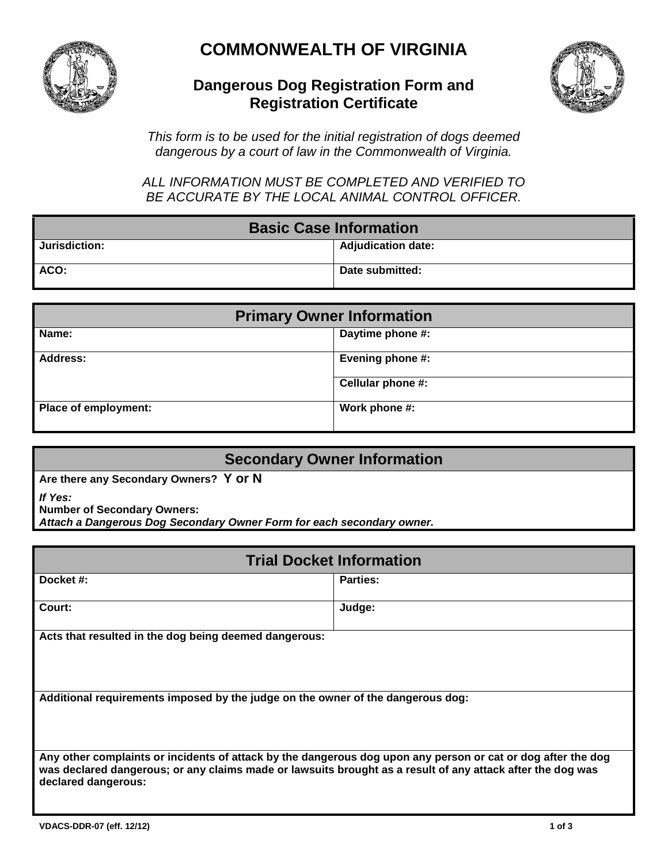

## **COMMONWEALTH OF VIRGINIA**

## **Dangerous Dog Registration Form and Registration Certificate**



*This form is to be used for the initial registration of dogs deemed dangerous by a court of law in the Commonwealth of Virginia.* 

*ALL INFORMATION MUST BE COMPLETED AND VERIFIED TO BE ACCURATE BY THE LOCAL ANIMAL CONTROL OFFICER.*

| <b>Basic Case Information</b> |                           |
|-------------------------------|---------------------------|
| Jurisdiction:                 | <b>Adjudication date:</b> |
| ACO:                          | Date submitted:           |

| <b>Primary Owner Information</b> |                         |
|----------------------------------|-------------------------|
| Name:                            | Daytime phone #:        |
| <b>Address:</b>                  | <b>Evening phone #:</b> |
|                                  | Cellular phone #:       |
| Place of employment:             | Work phone #:           |

## **Secondary Owner Information**

**Are there any Secondary Owners? Y or N**

*If Yes:* 

**Number of Secondary Owners:**

*Attach a Dangerous Dog Secondary Owner Form for each secondary owner.*

| <b>Trial Docket Information</b>                                                                                                                                                                                                                   |                 |  |
|---------------------------------------------------------------------------------------------------------------------------------------------------------------------------------------------------------------------------------------------------|-----------------|--|
| Docket #:                                                                                                                                                                                                                                         | <b>Parties:</b> |  |
| Court:                                                                                                                                                                                                                                            | Judge:          |  |
| Acts that resulted in the dog being deemed dangerous:                                                                                                                                                                                             |                 |  |
| Additional requirements imposed by the judge on the owner of the dangerous dog:                                                                                                                                                                   |                 |  |
| Any other complaints or incidents of attack by the dangerous dog upon any person or cat or dog after the dog<br>was declared dangerous; or any claims made or lawsuits brought as a result of any attack after the dog was<br>declared dangerous: |                 |  |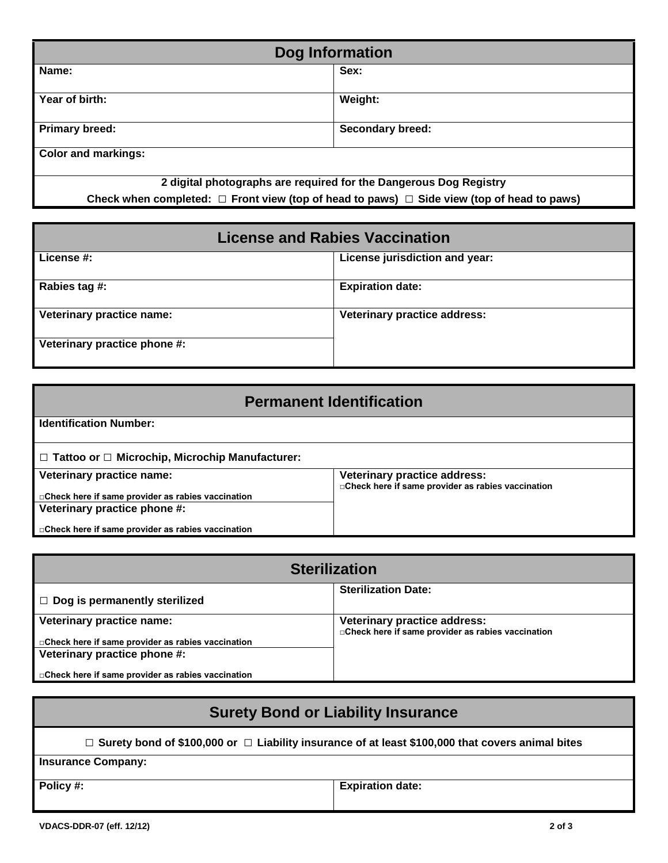| Dog Information                                                                                      |                         |
|------------------------------------------------------------------------------------------------------|-------------------------|
| Name:                                                                                                | Sex:                    |
| Year of birth:                                                                                       | Weight:                 |
| <b>Primary breed:</b>                                                                                | <b>Secondary breed:</b> |
| <b>Color and markings:</b>                                                                           |                         |
| 2 digital photographs are required for the Dangerous Dog Registry                                    |                         |
| Check when completed: $\Box$ Front view (top of head to paws) $\Box$ Side view (top of head to paws) |                         |

| <b>License and Rabies Vaccination</b> |                                     |
|---------------------------------------|-------------------------------------|
| License #:                            | License jurisdiction and year:      |
| Rabies tag #:                         | <b>Expiration date:</b>             |
| Veterinary practice name:             | <b>Veterinary practice address:</b> |
| Veterinary practice phone #:          |                                     |

| <b>Permanent Identification</b>                            |                                                                                            |
|------------------------------------------------------------|--------------------------------------------------------------------------------------------|
| <b>Identification Number:</b>                              |                                                                                            |
| $\Box$ Tattoo or $\Box$ Microchip, Microchip Manufacturer: |                                                                                            |
| Veterinary practice name:                                  | <b>Veterinary practice address:</b><br>□ Check here if same provider as rabies vaccination |
| □ Check here if same provider as rabies vaccination        |                                                                                            |
| Veterinary practice phone #:                               |                                                                                            |
| □ Check here if same provider as rabies vaccination        |                                                                                            |

| <b>Sterilization</b>                                |                                                                                            |
|-----------------------------------------------------|--------------------------------------------------------------------------------------------|
| $\Box$ Dog is permanently sterilized                | <b>Sterilization Date:</b>                                                                 |
| Veterinary practice name:                           | <b>Veterinary practice address:</b><br>□ Check here if same provider as rabies vaccination |
| □ Check here if same provider as rabies vaccination |                                                                                            |
| Veterinary practice phone #:                        |                                                                                            |
| □ Check here if same provider as rabies vaccination |                                                                                            |

| <b>Surety Bond or Liability Insurance</b> |                                                                                                    |
|-------------------------------------------|----------------------------------------------------------------------------------------------------|
|                                           | □ Surety bond of \$100,000 or □ Liability insurance of at least \$100,000 that covers animal bites |
| <b>Insurance Company:</b>                 |                                                                                                    |
| Policy #:                                 | <b>Expiration date:</b>                                                                            |